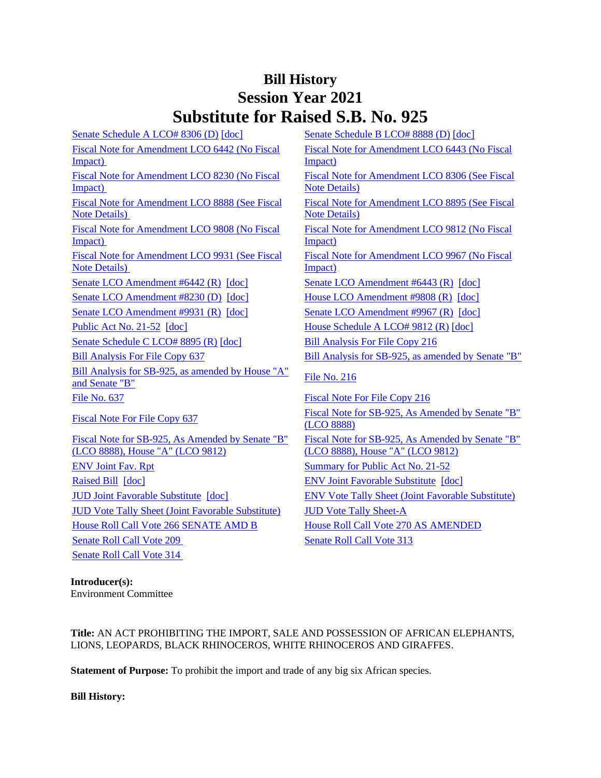## **Bill History Session Year 2021 Substitute for Raised S.B. No. 925**

[Senate Schedule A LCO# 8306 \(D\)](/2021/amd/S/pdf/2021SB-00925-R00SA-AMD.pdf) [\[doc\]](https://search.cga.state.ct.us/dl2021/AMD/doc/2021SB-00925-R00SB-AMD.docx) [Senate Schedule B LCO# 8888 \(D\)](/2021/amd/S/pdf/2021SB-00925-R00SB-AMD.pdf) [doc] [Fiscal Note for Amendment LCO 6442 \(No Fiscal](/2021/fna/pdf/2021SB-00925-R00LCO06442-FNA.PDF)  [Impact\)](/2021/fna/pdf/2021SB-00925-R00LCO06442-FNA.PDF)  [Fiscal Note for Amendment LCO 8230 \(No Fiscal](/2021/fna/pdf/2021SB-00925-R00LCO08230-FNA.PDF)  [Impact\)](/2021/fna/pdf/2021SB-00925-R00LCO08230-FNA.PDF)  [Fiscal Note for Amendment LCO 8888 \(See Fiscal](/2021/fna/pdf/2021SB-00925-R00LCO08888-FNA.pdf)  [Note Details\)](/2021/fna/pdf/2021SB-00925-R00LCO08888-FNA.pdf)  [Fiscal Note for Amendment LCO 9808 \(No Fiscal](/2021/fna/pdf/2021SB-00925-R00LCO09808-FNA.PDF)  [Impact\)](/2021/fna/pdf/2021SB-00925-R00LCO09808-FNA.PDF)  [Fiscal Note for Amendment LCO 9931 \(See Fiscal](/2021/fna/pdf/2021SB-00925-R00LCO09931-FNA.pdf)  [Note Details\)](/2021/fna/pdf/2021SB-00925-R00LCO09931-FNA.pdf)  [Senate LCO Amendment #6442 \(R\)](/2021/lcoamd/pdf/2021LCO06442-R00-AMD.pdf) [\[doc\]](https://search.cga.state.ct.us/dl2021/aml/doc/2021LCO06443-R00-AMD.docx) [Senate LCO Amendment #6443 \(R\)](/2021/lcoamd/pdf/2021LCO06443-R00-AMD.pdf) [doc] [Senate LCO Amendment #8230 \(D\)](/2021/lcoamd/pdf/2021LCO08230-R00-AMD.pdf) [\[doc\]](https://search.cga.state.ct.us/dl2021/aml/doc/2021LCO09808-R00-AMD.DOCX) [House LCO Amendment #9808 \(R\)](/2021/lcoamd/pdf/2021LCO09808-R00-AMD.pdf) [doc] [Senate LCO Amendment #9931 \(R\)](/2021/lcoamd/pdf/2021LCO09931-R00-AMD.pdf) [\[doc\]](https://search.cga.state.ct.us/dl2021/aml/doc/2021LCO09967-R00-AMD.DOCX) [Senate LCO Amendment #9967 \(R\)](/2021/lcoamd/pdf/2021LCO09967-R00-AMD.pdf) [doc] Public [Act No. 21-52](/2021/ACT/PA/PDF/2021PA-00052-R00SB-00925-PA.PDF) [\[doc\]](https://search.cga.state.ct.us/dl2021/AMd/DOC/2021SB-00925-R00HA-AMD.Docx) [House Schedule A LCO# 9812 \(R\)](/2021/amd/S/pdf/2021SB-00925-R00HA-AMD.pdf) [doc] [Senate Schedule C LCO# 8895 \(R\)](/2021/amd/S/pdf/2021SB-00925-R00SC-AMD.pdf) [\[doc\]](https://search.cga.state.ct.us/dl2021/AMd/DOC/2021SB-00925-R00SC-AMD.Docx) [Bill Analysis For File Copy 216](/2021/BA/PDF/2021SB-00925-R000216-BA.PDF) [Bill Analysis For File Copy 637](/2021/BA/PDF/2021SB-00925-R010637-BA.PDF) [Bill Analysis for SB-925, as amended by Senate "B"](/2021/BA/PDF/2021SB-00925-R02-BA.PDF) [Bill Analysis for SB-925, as amended by House "A"](/2021/BA/PDF/2021SB-00925-R03-BA.PDF) [File No. 216](/2021/FC/PDF/2021SB-00925-R000216-FC.PDF) [File No. 637](/2021/FC/PDF/2021SB-00925-R000637-FC.PDF) **File No. 637** [Fiscal Note For File Copy 216](/2021/FN/PDF/2021SB-00925-R000216-FN.PDF) [Fiscal Note For File Copy 637](/2021/FN/PDF/2021SB-00925-R010637-FN.PDF) Fiscal Note for SB-925, As Amended by Senate  $B''$ [Fiscal Note for SB-925, As Amended by Senate "B"](/2021/FN/PDF/2021SB-00925-R03-FN.PDF)  [\(LCO 8888\), House "A" \(LCO 9812\)](/2021/FN/PDF/2021SB-00925-R03-FN.PDF) [ENV Joint Fav. Rpt](/2021/JFR/S/PDF/2021SB-00925-R00ENV-JFR.PDF) [Summary for Public Act No. 21-52](/2021/SUM/PDF/2021SUM00052-R04SB-00925-SUM.PDF) [Raised Bill](/2021/TOB/S/PDF/2021SB-00925-R00-SB.PDF) [\[doc\]](https://search.cga.state.ct.us/dl2021/TOB/DOC/2021SB-00925-R01-SB.DOCX) **ENV Joint Favorable Substitute** [doc]

[JUD Vote Tally Sheet \(Joint Favorable Substitute\)](/2021/TS/S/PDF/2021SB-00925-R00JUD-CV170-TS.PDF) [JUD Vote Tally Sheet-A](/2021/TS/S/PDF/2021SB-00925-R00JUDA-CV171-TS.PDF) [House Roll Call Vote 266 SENATE AMD B](/2021/VOTE/H/PDF/2021HV-00266-R00SB00925-HV.PDF) [House Roll Call Vote 270 AS AMENDED](/2021/VOTE/H/PDF/2021HV-00270-R00SB00925-HV.PDF)  [Senate Roll Call Vote 209](/2021/VOTE/S/PDF/2021SV-00209-R00SB00925-SV.PDF) Senate Roll Call Vote 313 [Senate Roll Call Vote 314](/2021/VOTE/S/PDF/2021SV-00314-R00SB00925-SV.PDF) 

[Fiscal Note for Amendment LCO 6443 \(No Fiscal](/2021/fna/pdf/2021SB-00925-R00LCO06443-FNA.PDF)  [Impact\)](/2021/fna/pdf/2021SB-00925-R00LCO06443-FNA.PDF)  [Fiscal Note for Amendment LCO 8306 \(See Fiscal](/2021/fna/pdf/2021SB-00925-R00LCO08306-FNA.PDF)  [Note Details\)](/2021/fna/pdf/2021SB-00925-R00LCO08306-FNA.PDF) [Fiscal Note for Amendment LCO 8895 \(See Fiscal](/2021/fna/pdf/2021SB-00925-R00LCO08895-FNA.PDF)  [Note Details\)](/2021/fna/pdf/2021SB-00925-R00LCO08895-FNA.PDF)  [Fiscal Note for Amendment LCO 9812 \(No Fiscal](/2021/fna/pdf/2021SB-00925-R00LCO09812-FNA.PDF)  [Impact\)](/2021/fna/pdf/2021SB-00925-R00LCO09812-FNA.PDF)  [Fiscal Note for Amendment LCO 9967 \(No Fiscal](/2021/fna/pdf/2021SB-00925-R00LCO09967-FNA.PDF)  [Impact\)](/2021/fna/pdf/2021SB-00925-R00LCO09967-FNA.PDF)  [\(LCO 8888\)](/2021/FN/PDF/2021SB-00925-R02-FN.PDF) [Fiscal Note for SB-925, As Amended by Senate "B"](/2021/FN/PDF/2021SB-00925-R04-FN.PDF)  [\(LCO 8888\), House "A" \(LCO 9812\)](/2021/FN/PDF/2021SB-00925-R04-FN.PDF) [JUD Joint Favorable Substitute](/2021/TOB/S/PDF/2021SB-00925-R02-SB.PDF) [\[doc\]](https://search.cga.state.ct.us/dl2021/TOB/DOC/2021SB-00925-R02-SB.DOCX) [ENV Vote Tally Sheet \(Joint Favorable Substitute\)](/2021/TS/S/PDF/2021SB-00925-R00ENV-CV43-TS.PDF)

**Introducer(s):** Environment Committee

**Title:** AN ACT PROHIBITING THE IMPORT, SALE AND POSSESSION OF AFRICAN ELEPHANTS, LIONS, LEOPARDS, BLACK RHINOCEROS, WHITE RHINOCEROS AND GIRAFFES.

**Statement of Purpose:** To prohibit the import and trade of any big six African species.

**Bill History:**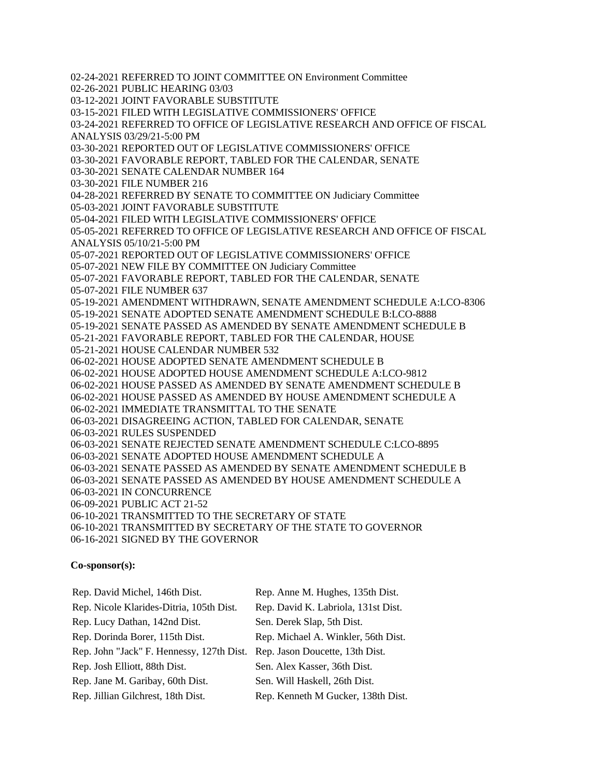02-24-2021 REFERRED TO JOINT COMMITTEE ON Environment Committee 02-26-2021 PUBLIC HEARING 03/03 03-12-2021 JOINT FAVORABLE SUBSTITUTE 03-15-2021 FILED WITH LEGISLATIVE COMMISSIONERS' OFFICE 03-24-2021 REFERRED TO OFFICE OF LEGISLATIVE RESEARCH AND OFFICE OF FISCAL ANALYSIS 03/29/21-5:00 PM 03-30-2021 REPORTED OUT OF LEGISLATIVE COMMISSIONERS' OFFICE 03-30-2021 FAVORABLE REPORT, TABLED FOR THE CALENDAR, SENATE 03-30-2021 SENATE CALENDAR NUMBER 164 03-30-2021 FILE NUMBER 216 04-28-2021 REFERRED BY SENATE TO COMMITTEE ON Judiciary Committee 05-03-2021 JOINT FAVORABLE SUBSTITUTE 05-04-2021 FILED WITH LEGISLATIVE COMMISSIONERS' OFFICE 05-05-2021 REFERRED TO OFFICE OF LEGISLATIVE RESEARCH AND OFFICE OF FISCAL ANALYSIS 05/10/21-5:00 PM 05-07-2021 REPORTED OUT OF LEGISLATIVE COMMISSIONERS' OFFICE 05-07-2021 NEW FILE BY COMMITTEE ON Judiciary Committee 05-07-2021 FAVORABLE REPORT, TABLED FOR THE CALENDAR, SENATE 05-07-2021 FILE NUMBER 637 05-19-2021 AMENDMENT WITHDRAWN, SENATE AMENDMENT SCHEDULE A:LCO-8306 05-19-2021 SENATE ADOPTED SENATE AMENDMENT SCHEDULE B:LCO-8888 05-19-2021 SENATE PASSED AS AMENDED BY SENATE AMENDMENT SCHEDULE B 05-21-2021 FAVORABLE REPORT, TABLED FOR THE CALENDAR, HOUSE 05-21-2021 HOUSE CALENDAR NUMBER 532 06-02-2021 HOUSE ADOPTED SENATE AMENDMENT SCHEDULE B 06-02-2021 HOUSE ADOPTED HOUSE AMENDMENT SCHEDULE A:LCO-9812 06-02-2021 HOUSE PASSED AS AMENDED BY SENATE AMENDMENT SCHEDULE B 06-02-2021 HOUSE PASSED AS AMENDED BY HOUSE AMENDMENT SCHEDULE A 06-02-2021 IMMEDIATE TRANSMITTAL TO THE SENATE 06-03-2021 DISAGREEING ACTION, TABLED FOR CALENDAR, SENATE 06-03-2021 RULES SUSPENDED 06-03-2021 SENATE REJECTED SENATE AMENDMENT SCHEDULE C:LCO-8895 06-03-2021 SENATE ADOPTED HOUSE AMENDMENT SCHEDULE A 06-03-2021 SENATE PASSED AS AMENDED BY SENATE AMENDMENT SCHEDULE B 06-03-2021 SENATE PASSED AS AMENDED BY HOUSE AMENDMENT SCHEDULE A 06-03-2021 IN CONCURRENCE 06-09-2021 PUBLIC ACT 21-52 06-10-2021 TRANSMITTED TO THE SECRETARY OF STATE 06-10-2021 TRANSMITTED BY SECRETARY OF THE STATE TO GOVERNOR 06-16-2021 SIGNED BY THE GOVERNOR

## **Co-sponsor(s):**

| Rep. David Michel, 146th Dist.            | Rep. Anne M. Hughes, 135th Dist.    |
|-------------------------------------------|-------------------------------------|
| Rep. Nicole Klarides-Ditria, 105th Dist.  | Rep. David K. Labriola, 131st Dist. |
| Rep. Lucy Dathan, 142nd Dist.             | Sen. Derek Slap, 5th Dist.          |
| Rep. Dorinda Borer, 115th Dist.           | Rep. Michael A. Winkler, 56th Dist. |
| Rep. John "Jack" F. Hennessy, 127th Dist. | Rep. Jason Doucette, 13th Dist.     |
| Rep. Josh Elliott, 88th Dist.             | Sen. Alex Kasser, 36th Dist.        |
| Rep. Jane M. Garibay, 60th Dist.          | Sen. Will Haskell, 26th Dist.       |
| Rep. Jillian Gilchrest, 18th Dist.        | Rep. Kenneth M Gucker, 138th Dist.  |